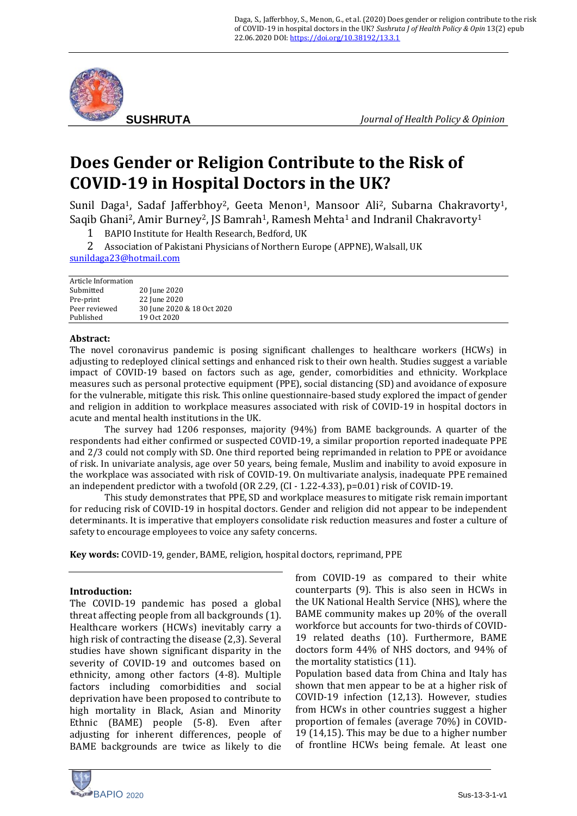

**SUSHRUTA** *Journal of Health Policy & Opinion*

# **Does Gender or Religion Contribute to the Risk of COVID-19 in Hospital Doctors in the UK?**

Sunil Daga<sup>1</sup>, Sadaf Jafferbhoy<sup>2</sup>, Geeta Menon<sup>1</sup>, Mansoor Ali<sup>2</sup>, Subarna Chakravorty<sup>1</sup>, Saqib Ghani<sup>2</sup>, Amir Burney<sup>2</sup>, JS Bamrah<sup>1</sup>, Ramesh Mehta<sup>1</sup> and Indranil Chakravorty<sup>1</sup>

1 BAPIO Institute for Health Research, Bedford, UK

2 Association of Pakistani Physicians of Northern Europe (APPNE), Walsall, UK [sunildaga23@hotmail.com](mailto:sunildaga23@hotmail.com)

| Article Information |                            |
|---------------------|----------------------------|
| Submitted           | 20 June 2020               |
| Pre-print           | 22 June 2020               |
| Peer reviewed       | 30 June 2020 & 18 Oct 2020 |
| Published           | 19 Oct 2020                |

#### **Abstract:**

The novel coronavirus pandemic is posing significant challenges to healthcare workers (HCWs) in adjusting to redeployed clinical settings and enhanced risk to their own health. Studies suggest a variable impact of COVID-19 based on factors such as age, gender, comorbidities and ethnicity. Workplace measures such as personal protective equipment (PPE), social distancing (SD) and avoidance of exposure for the vulnerable, mitigate this risk. This online questionnaire-based study explored the impact of gender and religion in addition to workplace measures associated with risk of COVID-19 in hospital doctors in acute and mental health institutions in the UK.

The survey had 1206 responses, majority (94%) from BAME backgrounds. A quarter of the respondents had either confirmed or suspected COVID-19, a similar proportion reported inadequate PPE and 2/3 could not comply with SD. One third reported being reprimanded in relation to PPE or avoidance of risk. In univariate analysis, age over 50 years, being female, Muslim and inability to avoid exposure in the workplace was associated with risk of COVID-19. On multivariate analysis, inadequate PPE remained an independent predictor with a twofold (OR 2.29, (CI - 1.22-4.33), p=0.01) risk of COVID-19.

This study demonstrates that PPE, SD and workplace measures to mitigate risk remain important for reducing risk of COVID-19 in hospital doctors. Gender and religion did not appear to be independent determinants. It is imperative that employers consolidate risk reduction measures and foster a culture of safety to encourage employees to voice any safety concerns.

**Key words:** COVID-19, gender, BAME, religion, hospital doctors, reprimand, PPE

#### **Introduction:**

The COVID-19 pandemic has posed a global threat affecting people from all backgrounds (1). Healthcare workers (HCWs) inevitably carry a high risk of contracting the disease (2,3). Several studies have shown significant disparity in the severity of COVID-19 and outcomes based on ethnicity, among other factors (4-8). Multiple factors including comorbidities and social deprivation have been proposed to contribute to high mortality in Black, Asian and Minority Ethnic (BAME) people (5-8). Even after adjusting for inherent differences, people of BAME backgrounds are twice as likely to die



from COVID-19 as compared to their white counterparts (9). This is also seen in HCWs in the UK National Health Service (NHS), where the BAME community makes up 20% of the overall workforce but accounts for two-thirds of COVID-19 related deaths (10). Furthermore, BAME doctors form 44% of NHS doctors, and 94% of the mortality statistics (11).

Population based data from China and Italy has shown that men appear to be at a higher risk of COVID-19 infection (12,13). However, studies from HCWs in other countries suggest a higher proportion of females (average 70%) in COVID-19 (14,15). This may be due to a higher number of frontline HCWs being female. At least one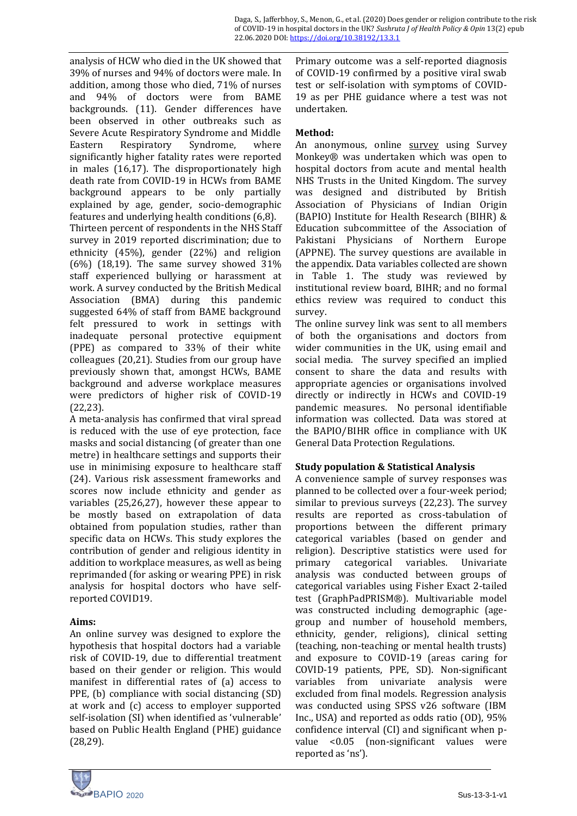analysis of HCW who died in the UK showed that 39% of nurses and 94% of doctors were male. In addition, among those who died, 71% of nurses and 94% of doctors were from BAME backgrounds. (11). Gender differences have been observed in other outbreaks such as Severe Acute Respiratory Syndrome and Middle Eastern Respiratory Syndrome, where significantly higher fatality rates were reported in males (16,17). The disproportionately high death rate from COVID-19 in HCWs from BAME background appears to be only partially explained by age, gender, socio-demographic features and underlying health conditions (6,8). Thirteen percent of respondents in the NHS Staff survey in 2019 reported discrimination; due to ethnicity (45%), gender (22%) and religion  $(6%)$  (18,19). The same survey showed 31% staff experienced bullying or harassment at work. A survey conducted by the British Medical Association (BMA) during this pandemic suggested 64% of staff from BAME background felt pressured to work in settings with inadequate personal protective equipment (PPE) as compared to 33% of their white colleagues (20,21). Studies from our group have previously shown that, amongst HCWs, BAME background and adverse workplace measures were predictors of higher risk of COVID-19 (22,23).

A meta-analysis has confirmed that viral spread is reduced with the use of eye protection, face masks and social distancing (of greater than one metre) in healthcare settings and supports their use in minimising exposure to healthcare staff (24). Various risk assessment frameworks and scores now include ethnicity and gender as variables (25,26,27), however these appear to be mostly based on extrapolation of data obtained from population studies, rather than specific data on HCWs. This study explores the contribution of gender and religious identity in addition to workplace measures, as well as being reprimanded (for asking or wearing PPE) in risk analysis for hospital doctors who have selfreported COVID19.

# **Aims:**

An online survey was designed to explore the hypothesis that hospital doctors had a variable risk of COVID-19, due to differential treatment based on their gender or religion. This would manifest in differential rates of (a) access to PPE, (b) compliance with social distancing (SD) at work and (c) access to employer supported self-isolation (SI) when identified as 'vulnerable' based on Public Health England (PHE) guidance (28,29).

Primary outcome was a self-reported diagnosis of COVID-19 confirmed by a positive viral swab test or self-isolation with symptoms of COVID-19 as per PHE guidance where a test was not undertaken.

# **Method:**

An anonymous, online [survey](https://www.surveymonkey.co.uk/r/8X5MQP3) using Survey Monkey® was undertaken which was open to hospital doctors from acute and mental health NHS Trusts in the United Kingdom. The survey was designed and distributed by British Association of Physicians of Indian Origin (BAPIO) Institute for Health Research (BIHR) & Education subcommittee of the Association of Pakistani Physicians of Northern Europe (APPNE). The survey questions are available in the appendix. Data variables collected are shown in Table 1. The study was reviewed by institutional review board, BIHR; and no formal ethics review was required to conduct this survey.

The online survey link was sent to all members of both the organisations and doctors from wider communities in the UK, using email and social media. The survey specified an implied consent to share the data and results with appropriate agencies or organisations involved directly or indirectly in HCWs and COVID-19 pandemic measures. No personal identifiable information was collected. Data was stored at the BAPIO/BIHR office in compliance with UK General Data Protection Regulations.

# **Study population & Statistical Analysis**

A convenience sample of survey responses was planned to be collected over a four-week period; similar to previous surveys (22,23). The survey results are reported as cross-tabulation of proportions between the different primary categorical variables (based on gender and religion). Descriptive statistics were used for primary categorical variables. Univariate analysis was conducted between groups of categorical variables using Fisher Exact 2-tailed test (GraphPadPRISM®). Multivariable model was constructed including demographic (agegroup and number of household members, ethnicity, gender, religions), clinical setting (teaching, non-teaching or mental health trusts) and exposure to COVID-19 (areas caring for COVID-19 patients, PPE, SD). Non-significant variables from univariate analysis were excluded from final models. Regression analysis was conducted using SPSS v26 software (IBM Inc., USA) and reported as odds ratio (OD), 95% confidence interval (CI) and significant when pvalue <0.05 (non-significant values were reported as 'ns').

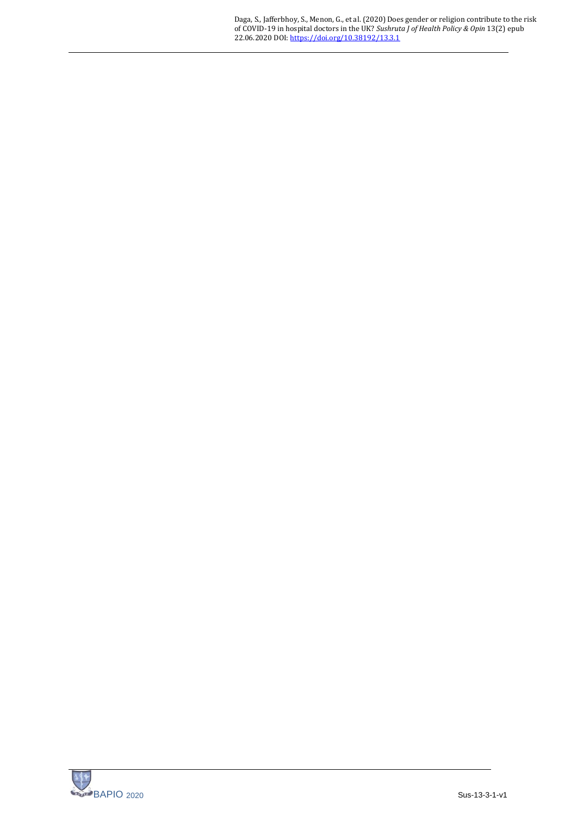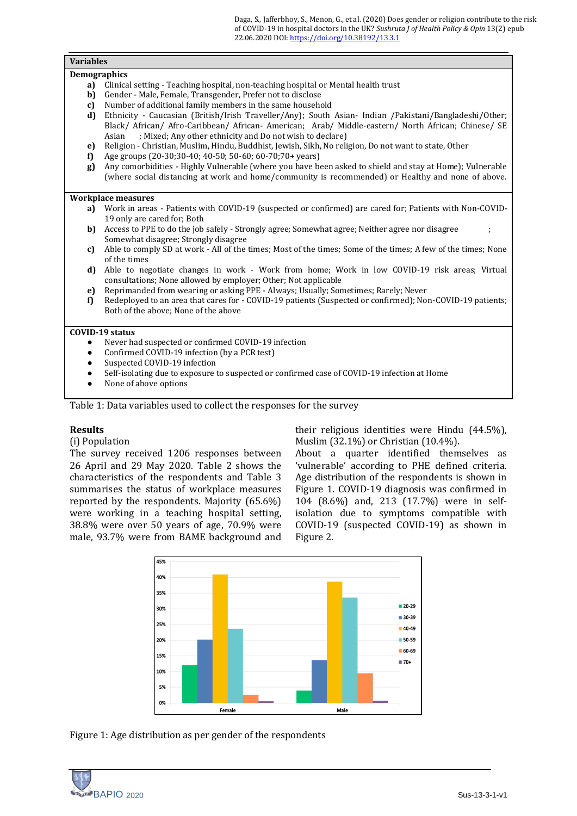# **Variables**

#### **Demographics**

- **a)** Clinical setting Teaching hospital, non-teaching hospital or Mental health trust
- **b)** Gender Male, Female, Transgender, Prefer not to disclose
- **c)** Number of additional family members in the same household
- **d)** Ethnicity Caucasian (British/Irish Traveller/Any); South Asian- Indian /Pakistani/Bangladeshi/Other; Black/ African/ Afro-Caribbean/ African- American; Arab/ Middle-eastern/ North African; Chinese/ SE Asian ; Mixed; Any other ethnicity and Do not wish to declare)
- **e)** Religion Christian, Muslim, Hindu, Buddhist, Jewish, Sikh, No religion, Do not want to state, Other
- **f)** Age groups (20-30;30-40; 40-50; 50-60; 60-70;70+ years)
- **g)** Any comorbidities Highly Vulnerable (where you have been asked to shield and stay at Home); Vulnerable (where social distancing at work and home/community is recommended) or Healthy and none of above.

#### **Workplace measures**

- **a)** Work in areas Patients with COVID-19 (suspected or confirmed) are cared for; Patients with Non-COVID-19 only are cared for; Both
- **b)** Access to PPE to do the job safely Strongly agree; Somewhat agree; Neither agree nor disagree Somewhat disagree; Strongly disagree
- **c)** Able to comply SD at work All of the times; Most of the times; Some of the times; A few of the times; None of the times
- **d)** Able to negotiate changes in work Work from home; Work in low COVID-19 risk areas; Virtual consultations; None allowed by employer; Other; Not applicable
- **e)** Reprimanded from wearing or asking PPE Always; Usually; Sometimes; Rarely; Never
- **f)** Redeployed to an area that cares for COVID-19 patients (Suspected or confirmed); Non-COVID-19 patients; Both of the above; None of the above

#### **COVID-19 status**

- Never had suspected or confirmed COVID-19 infection
- Confirmed COVID-19 infection (by a PCR test)
- Suspected COVID-19 infection
- Self-isolating due to exposure to suspected or confirmed case of COVID-19 infection at Home
- None of above options

Table 1: Data variables used to collect the responses for the survey

#### **Results**

#### (i) Population

The survey received 1206 responses between 26 April and 29 May 2020. Table 2 shows the characteristics of the respondents and Table 3 summarises the status of workplace measures reported by the respondents. Majority (65.6%) were working in a teaching hospital setting, 38.8% were over 50 years of age, 70.9% were male, 93.7% were from BAME background and

their religious identities were Hindu (44.5%), Muslim (32.1%) or Christian (10.4%).

About a quarter identified themselves as 'vulnerable' according to PHE defined criteria. Age distribution of the respondents is shown in Figure 1. COVID-19 diagnosis was confirmed in 104 (8.6%) and, 213 (17.7%) were in selfisolation due to symptoms compatible with COVID-19 (suspected COVID-19) as shown in Figure 2.



Figure 1: Age distribution as per gender of the respondents

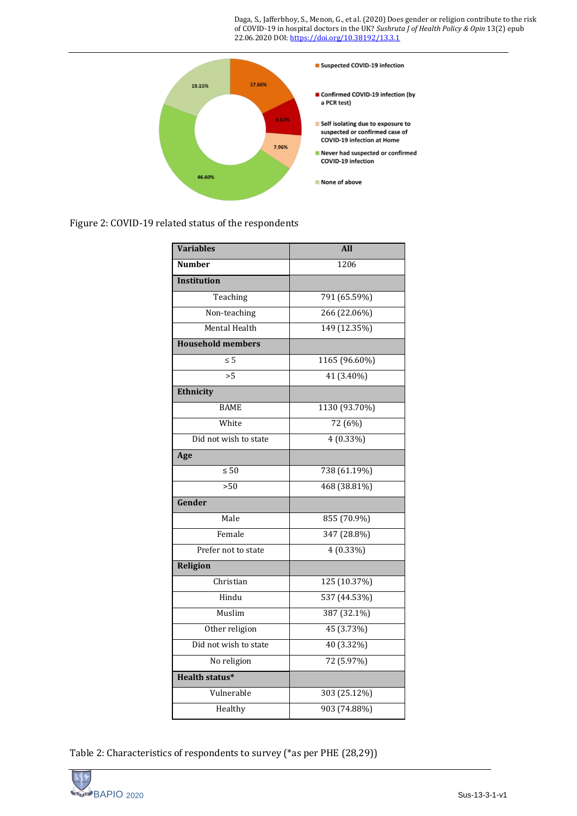

# Figure 2: COVID-19 related status of the respondents

| <b>Variables</b>         | All           |
|--------------------------|---------------|
| <b>Number</b>            | 1206          |
| <b>Institution</b>       |               |
| Teaching                 | 791 (65.59%)  |
| Non-teaching             | 266 (22.06%)  |
| <b>Mental Health</b>     | 149 (12.35%)  |
| <b>Household members</b> |               |
| $\overline{\leq 5}$      | 1165 (96.60%) |
| > 5                      | 41 (3.40%)    |
| Ethnicity                |               |
| <b>BAME</b>              | 1130 (93.70%) |
| White                    | 72 (6%)       |
| Did not wish to state    | 4 (0.33%)     |
| Age                      |               |
| $\leq 50$                | 738 (61.19%)  |
| > 50                     | 468 (38.81%)  |
| Gender                   |               |
| Male                     | 855 (70.9%)   |
| Female                   | 347 (28.8%)   |
| Prefer not to state      | 4 (0.33%)     |
| Religion                 |               |
| Christian                | 125 (10.37%)  |
| Hindu                    | 537 (44.53%)  |
| Muslim                   | 387 (32.1%)   |
| Other religion           | 45 (3.73%)    |
| Did not wish to state    | 40 (3.32%)    |
| No religion              | 72 (5.97%)    |
| Health status*           |               |
| Vulnerable               | 303 (25.12%)  |
| Healthy                  | 903 (74.88%)  |

Table 2: Characteristics of respondents to survey (\*as per PHE (28,29))

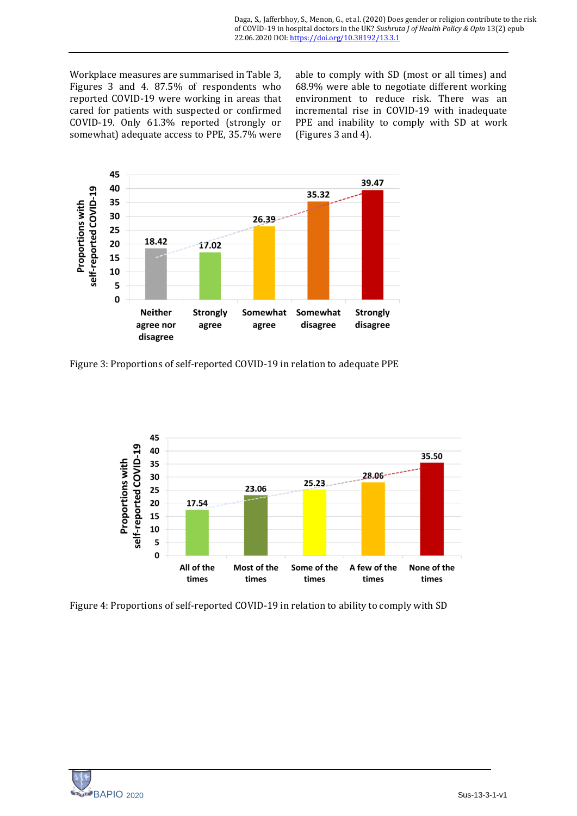Workplace measures are summarised in Table 3, Figures 3 and 4. 87.5% of respondents who reported COVID-19 were working in areas that cared for patients with suspected or confirmed COVID-19. Only 61.3% reported (strongly or somewhat) adequate access to PPE, 35.7% were able to comply with SD (most or all times) and 68.9% were able to negotiate different working environment to reduce risk. There was an incremental rise in COVID-19 with inadequate PPE and inability to comply with SD at work (Figures 3 and 4).



Figure 3: Proportions of self-reported COVID-19 in relation to adequate PPE



Figure 4: Proportions of self-reported COVID-19 in relation to ability to comply with SD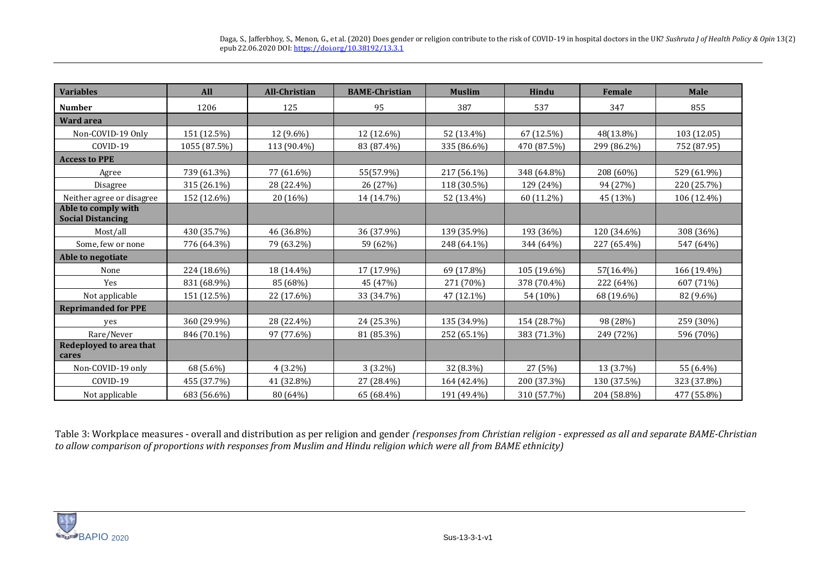| <b>Variables</b>                                | <b>All</b>   | <b>All-Christian</b> | <b>BAME-Christian</b> | <b>Muslim</b> | Hindu       | Female      | <b>Male</b> |
|-------------------------------------------------|--------------|----------------------|-----------------------|---------------|-------------|-------------|-------------|
| <b>Number</b>                                   | 1206         | 125                  | 95                    | 387           | 537         | 347         | 855         |
| <b>Ward area</b>                                |              |                      |                       |               |             |             |             |
| Non-COVID-19 Only                               | 151 (12.5%)  | 12 (9.6%)            | 12 (12.6%)            | 52 (13.4%)    | 67 (12.5%)  | 48(13.8%)   | 103 (12.05) |
| $COVID-19$                                      | 1055 (87.5%) | 113 (90.4%)          | 83 (87.4%)            | 335 (86.6%)   | 470 (87.5%) | 299 (86.2%) | 752 (87.95) |
| <b>Access to PPE</b>                            |              |                      |                       |               |             |             |             |
| Agree                                           | 739 (61.3%)  | 77 (61.6%)           | 55(57.9%)             | 217 (56.1%)   | 348 (64.8%) | 208 (60%)   | 529 (61.9%) |
| Disagree                                        | 315 (26.1%)  | 28 (22.4%)           | 26 (27%)              | 118 (30.5%)   | 129 (24%)   | 94 (27%)    | 220 (25.7%) |
| Neither agree or disagree                       | 152 (12.6%)  | 20 (16%)             | 14 (14.7%)            | 52 (13.4%)    | 60 (11.2%)  | 45 (13%)    | 106 (12.4%) |
| Able to comply with<br><b>Social Distancing</b> |              |                      |                       |               |             |             |             |
| Most/all                                        | 430 (35.7%)  | 46 (36.8%)           | 36 (37.9%)            | 139 (35.9%)   | 193 (36%)   | 120 (34.6%) | 308 (36%)   |
| Some, few or none                               | 776 (64.3%)  | 79 (63.2%)           | 59 (62%)              | 248 (64.1%)   | 344 (64%)   | 227 (65.4%) | 547 (64%)   |
| Able to negotiate                               |              |                      |                       |               |             |             |             |
| None                                            | 224 (18.6%)  | 18 (14.4%)           | 17 (17.9%)            | 69 (17.8%)    | 105 (19.6%) | 57(16.4%)   | 166 (19.4%) |
| Yes                                             | 831 (68.9%)  | 85 (68%)             | 45 (47%)              | 271 (70%)     | 378 (70.4%) | 222 (64%)   | 607 (71%)   |
| Not applicable                                  | 151 (12.5%)  | 22 (17.6%)           | 33 (34.7%)            | 47 (12.1%)    | 54 (10%)    | 68 (19.6%)  | 82 (9.6%)   |
| <b>Reprimanded for PPE</b>                      |              |                      |                       |               |             |             |             |
| yes                                             | 360 (29.9%)  | 28 (22.4%)           | 24 (25.3%)            | 135 (34.9%)   | 154 (28.7%) | 98 (28%)    | 259 (30%)   |
| Rare/Never                                      | 846 (70.1%)  | 97 (77.6%)           | 81 (85.3%)            | 252 (65.1%)   | 383 (71.3%) | 249 (72%)   | 596 (70%)   |
| Redeployed to area that<br>cares                |              |                      |                       |               |             |             |             |
| Non-COVID-19 only                               | 68 (5.6%)    | $4(3.2\%)$           | $3(3.2\%)$            | 32 (8.3%)     | 27 (5%)     | 13 (3.7%)   | 55 (6.4%)   |
| COVID-19                                        | 455 (37.7%)  | 41 (32.8%)           | 27 (28.4%)            | 164 (42.4%)   | 200 (37.3%) | 130 (37.5%) | 323 (37.8%) |
| Not applicable                                  | 683 (56.6%)  | 80 (64%)             | 65 (68.4%)            | 191 (49.4%)   | 310 (57.7%) | 204 (58.8%) | 477 (55.8%) |

Table 3: Workplace measures - overall and distribution as per religion and gender *(responses from Christian religion - expressed as all and separate BAME-Christian to allow comparison of proportions with responses from Muslim and Hindu religion which were all from BAME ethnicity)*

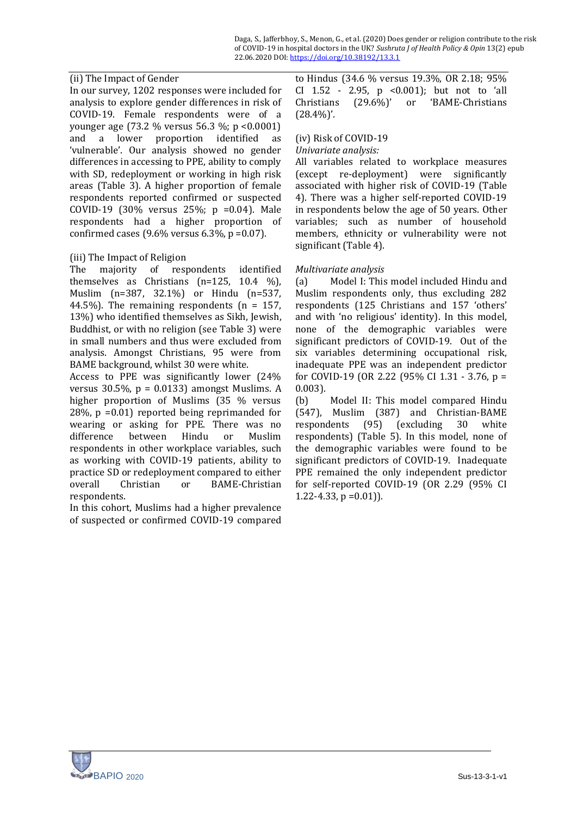# (ii) The Impact of Gender

In our survey, 1202 responses were included for analysis to explore gender differences in risk of COVID-19. Female respondents were of a younger age (73.2 % versus 56.3 %; p <0.0001) and a lower proportion identified as 'vulnerable'. Our analysis showed no gender differences in accessing to PPE, ability to comply with SD, redeployment or working in high risk areas (Table 3). A higher proportion of female respondents reported confirmed or suspected COVID-19 (30% versus 25%; p =0.04). Male respondents had a higher proportion of confirmed cases (9.6% versus 6.3%,  $p = 0.07$ ).

# (iii) The Impact of Religion

The majority of respondents identified themselves as Christians (n=125, 10.4 %), Muslim (n=387, 32.1%) or Hindu (n=537, 44.5%). The remaining respondents (n = 157, 13%) who identified themselves as Sikh, Jewish, Buddhist, or with no religion (see Table 3) were in small numbers and thus were excluded from analysis. Amongst Christians, 95 were from BAME background, whilst 30 were white.

Access to PPE was significantly lower (24% versus  $30.5\%$ , p = 0.0133) amongst Muslims. A higher proportion of Muslims (35 % versus 28%, p =0.01) reported being reprimanded for wearing or asking for PPE. There was no difference between Hindu or Muslim respondents in other workplace variables, such as working with COVID-19 patients, ability to practice SD or redeployment compared to either overall Christian or BAME-Christian respondents.

In this cohort, Muslims had a higher prevalence of suspected or confirmed COVID-19 compared to Hindus (34.6 % versus 19.3%, OR 2.18; 95% CI 1.52 - 2.95, p <0.001); but not to 'all Christians (29.6%)' or 'BAME-Christians (28.4%)'.

# (iv) Risk of COVID-19

#### *Univariate analysis:*

All variables related to workplace measures (except re-deployment) were significantly associated with higher risk of COVID-19 (Table 4). There was a higher self-reported COVID-19 in respondents below the age of 50 years. Other variables; such as number of household members, ethnicity or vulnerability were not significant (Table 4).

# *Multivariate analysis*

(a) Model I: This model included Hindu and Muslim respondents only, thus excluding 282 respondents (125 Christians and 157 'others' and with 'no religious' identity). In this model, none of the demographic variables were significant predictors of COVID-19. Out of the six variables determining occupational risk, inadequate PPE was an independent predictor for COVID-19 (OR 2.22 (95% CI 1.31 - 3.76, p = 0.003).

(b) Model II: This model compared Hindu (547), Muslim (387) and Christian-BAME respondents (95) (excluding 30 white respondents) (Table 5). In this model, none of the demographic variables were found to be significant predictors of COVID-19. Inadequate PPE remained the only independent predictor for self-reported COVID-19 (OR 2.29 (95% CI 1.22-4.33,  $p = 0.01$ ).

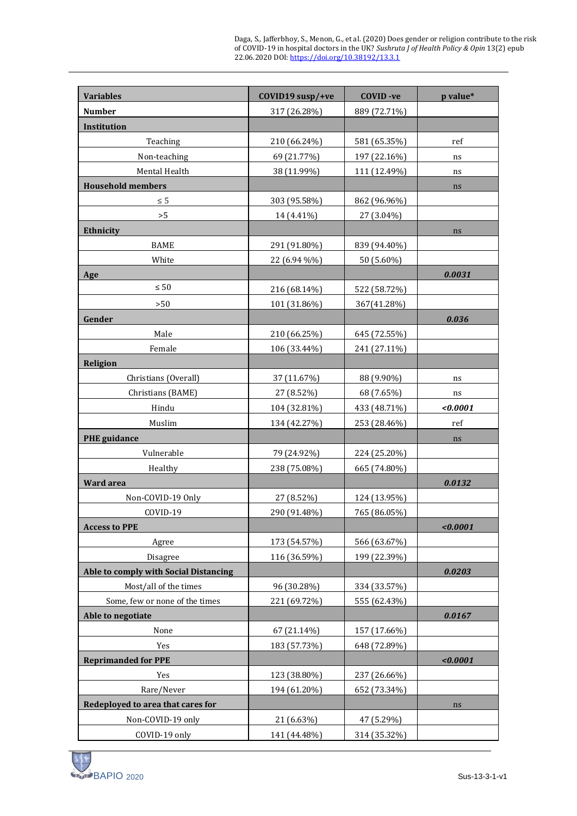| <b>Variables</b>                      | COVID19 susp/+ve | <b>COVID-ve</b> | p value* |
|---------------------------------------|------------------|-----------------|----------|
| <b>Number</b>                         | 317 (26.28%)     | 889 (72.71%)    |          |
| Institution                           |                  |                 |          |
| Teaching                              | 210 (66.24%)     | 581 (65.35%)    | ref      |
| Non-teaching                          | 69 (21.77%)      | 197 (22.16%)    | ns       |
| Mental Health                         | 38 (11.99%)      | 111 (12.49%)    | ns       |
| <b>Household members</b>              |                  |                 | ns       |
| $\leq 5$                              | 303 (95.58%)     | 862 (96.96%)    |          |
| >5                                    | 14 (4.41%)       | 27 (3.04%)      |          |
| Ethnicity                             |                  |                 | ns       |
| <b>BAME</b>                           | 291 (91.80%)     | 839 (94.40%)    |          |
| White                                 | 22 (6.94 %%)     | 50 (5.60%)      |          |
| Age                                   |                  |                 | 0.0031   |
| $\leq 50$                             | 216 (68.14%)     | 522 (58.72%)    |          |
| >50                                   | 101 (31.86%)     | 367(41.28%)     |          |
| Gender                                |                  |                 | 0.036    |
| Male                                  | 210 (66.25%)     | 645 (72.55%)    |          |
| Female                                | 106 (33.44%)     | 241 (27.11%)    |          |
| Religion                              |                  |                 |          |
| Christians (Overall)                  | 37 (11.67%)      | 88 (9.90%)      | ns       |
| Christians (BAME)                     | 27 (8.52%)       | 68 (7.65%)      | ns       |
| Hindu                                 | 104 (32.81%)     | 433 (48.71%)    | < 0.0001 |
| Muslim                                | 134 (42.27%)     | 253 (28.46%)    | ref      |
| <b>PHE</b> guidance                   |                  |                 | ns       |
| Vulnerable                            | 79 (24.92%)      | 224 (25.20%)    |          |
| Healthy                               | 238 (75.08%)     | 665 (74.80%)    |          |
| <b>Ward area</b>                      |                  |                 | 0.0132   |
| Non-COVID-19 Only                     | 27 (8.52%)       | 124 (13.95%)    |          |
| COVID-19                              | 290 (91.48%)     | 765 (86.05%)    |          |
| <b>Access to PPE</b>                  |                  |                 | < 0.0001 |
| Agree                                 | 173 (54.57%)     | 566 (63.67%)    |          |
| Disagree                              | 116 (36.59%)     | 199 (22.39%)    |          |
| Able to comply with Social Distancing |                  |                 | 0.0203   |
| Most/all of the times                 | 96 (30.28%)      | 334 (33.57%)    |          |
| Some, few or none of the times        | 221 (69.72%)     | 555 (62.43%)    |          |
| Able to negotiate                     |                  |                 | 0.0167   |
| None                                  | 67 (21.14%)      | 157 (17.66%)    |          |
| Yes                                   | 183 (57.73%)     | 648 (72.89%)    |          |
| <b>Reprimanded for PPE</b>            |                  |                 | < 0.0001 |
| Yes                                   | 123 (38.80%)     | 237 (26.66%)    |          |
| Rare/Never                            | 194 (61.20%)     | 652 (73.34%)    |          |
| Redeployed to area that cares for     |                  |                 | ns       |
| Non-COVID-19 only                     | 21 (6.63%)       | 47 (5.29%)      |          |
| COVID-19 only                         | 141 (44.48%)     | 314 (35.32%)    |          |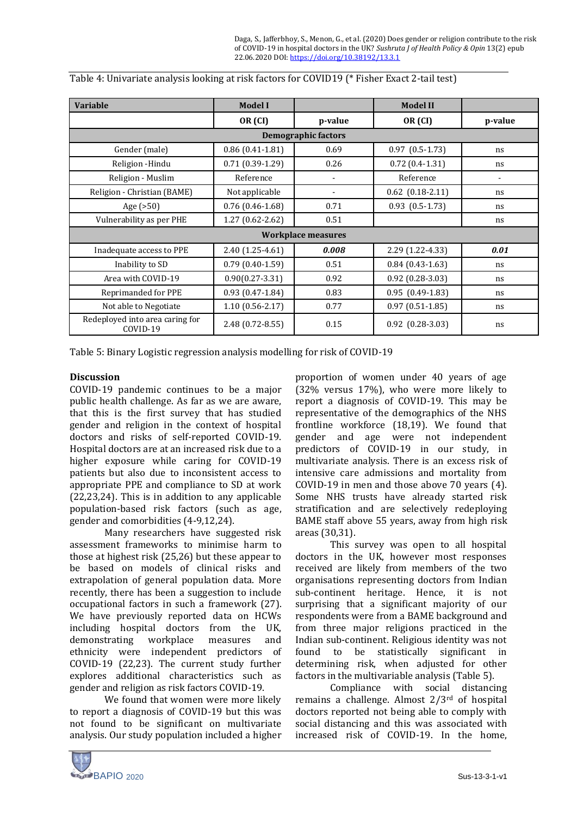| <b>Variable</b>                             | <b>Model I</b>      |                          | <b>Model II</b>      |         |  |  |  |
|---------------------------------------------|---------------------|--------------------------|----------------------|---------|--|--|--|
|                                             | OR (CI)             | p-value                  | OR (CI)              | p-value |  |  |  |
| <b>Demographic factors</b>                  |                     |                          |                      |         |  |  |  |
| Gender (male)                               | $0.86(0.41-1.81)$   | 0.69                     | $0.97$ $(0.5-1.73)$  | ns      |  |  |  |
| Religion - Hindu                            | $0.71(0.39-1.29)$   | 0.26                     | $0.72(0.4-1.31)$     | ns      |  |  |  |
| Religion - Muslim                           | Reference           | $\overline{\phantom{a}}$ | Reference            |         |  |  |  |
| Religion - Christian (BAME)                 | Not applicable      | $\overline{\phantom{a}}$ | $0.62$ $(0.18-2.11)$ | ns      |  |  |  |
| Age (>50)                                   | $0.76(0.46 - 1.68)$ | 0.71                     | $0.93$ $(0.5-1.73)$  | ns      |  |  |  |
| Vulnerability as per PHE                    | 1.27 (0.62-2.62)    | 0.51                     |                      | ns      |  |  |  |
| <b>Workplace measures</b>                   |                     |                          |                      |         |  |  |  |
| Inadequate access to PPE                    | 2.40 (1.25-4.61)    | 0.008                    | 2.29 (1.22-4.33)     | 0.01    |  |  |  |
| Inability to SD                             | $0.79(0.40-1.59)$   | 0.51                     | $0.84(0.43-1.63)$    | ns      |  |  |  |
| Area with COVID-19                          | $0.90(0.27 - 3.31)$ | 0.92                     | $0.92(0.28-3.03)$    | ns      |  |  |  |
| Reprimanded for PPE                         | $0.93(0.47-1.84)$   | 0.83                     | $0.95(0.49-1.83)$    | ns      |  |  |  |
| Not able to Negotiate                       | $1.10(0.56 - 2.17)$ | 0.77                     | $0.97(0.51-1.85)$    | ns      |  |  |  |
| Redeployed into area caring for<br>COVID-19 | 2.48 (0.72-8.55)    | 0.15                     | $0.92$ $(0.28-3.03)$ | ns      |  |  |  |

Table 4: Univariate analysis looking at risk factors for COVID19 (\* Fisher Exact 2-tail test)

Table 5: Binary Logistic regression analysis modelling for risk of COVID-19

# **Discussion**

COVID-19 pandemic continues to be a major public health challenge. As far as we are aware, that this is the first survey that has studied gender and religion in the context of hospital doctors and risks of self-reported COVID-19. Hospital doctors are at an increased risk due to a higher exposure while caring for COVID-19 patients but also due to inconsistent access to appropriate PPE and compliance to SD at work (22,23,24). This is in addition to any applicable population-based risk factors (such as age, gender and comorbidities (4-9,12,24).

Many researchers have suggested risk assessment frameworks to minimise harm to those at highest risk (25,26) but these appear to be based on models of clinical risks and extrapolation of general population data. More recently, there has been a suggestion to include occupational factors in such a framework (27). We have previously reported data on HCWs including hospital doctors from the UK, demonstrating workplace measures and ethnicity were independent predictors of COVID-19 (22,23). The current study further explores additional characteristics such as gender and religion as risk factors COVID-19.

We found that women were more likely to report a diagnosis of COVID-19 but this was not found to be significant on multivariate analysis. Our study population included a higher

proportion of women under 40 years of age (32% versus 17%), who were more likely to report a diagnosis of COVID-19. This may be representative of the demographics of the NHS frontline workforce (18,19). We found that gender and age were not independent predictors of COVID-19 in our study, in multivariate analysis. There is an excess risk of intensive care admissions and mortality from COVID-19 in men and those above 70 years (4). Some NHS trusts have already started risk stratification and are selectively redeploying BAME staff above 55 years, away from high risk areas (30,31).

This survey was open to all hospital doctors in the UK, however most responses received are likely from members of the two organisations representing doctors from Indian sub-continent heritage. Hence, it is not surprising that a significant majority of our respondents were from a BAME background and from three major religions practiced in the Indian sub-continent. Religious identity was not found to be statistically significant in determining risk, when adjusted for other factors in the multivariable analysis (Table 5).

Compliance with social distancing remains a challenge. Almost 2/3rd of hospital doctors reported not being able to comply with social distancing and this was associated with increased risk of COVID-19. In the home,

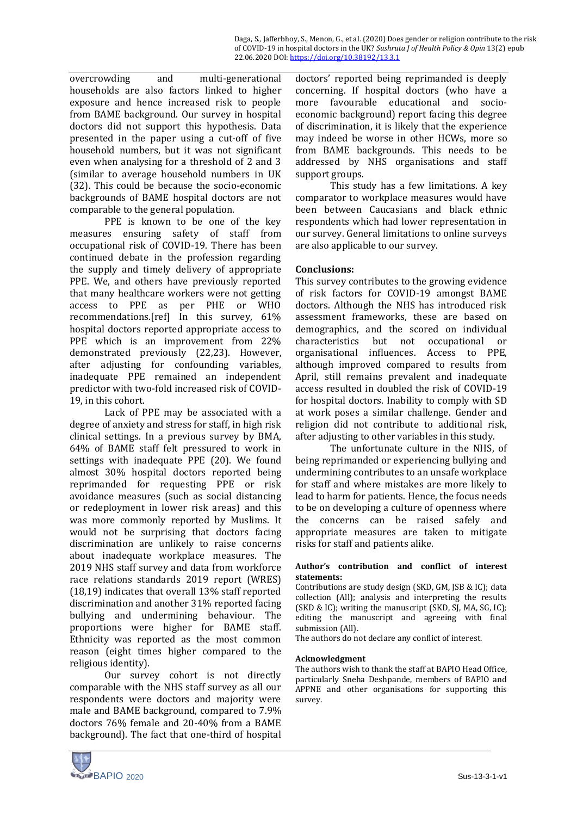overcrowding and multi-generational households are also factors linked to higher exposure and hence increased risk to people from BAME background. Our survey in hospital doctors did not support this hypothesis. Data presented in the paper using a cut-off of five household numbers, but it was not significant even when analysing for a threshold of 2 and 3 (similar to average household numbers in UK (32). This could be because the socio-economic backgrounds of BAME hospital doctors are not comparable to the general population.

PPE is known to be one of the key measures ensuring safety of staff from occupational risk of COVID-19. There has been continued debate in the profession regarding the supply and timely delivery of appropriate PPE. We, and others have previously reported that many healthcare workers were not getting access to PPE as per PHE or WHO recommendations.[ref] In this survey, 61% hospital doctors reported appropriate access to PPE which is an improvement from 22% demonstrated previously (22,23). However, after adjusting for confounding variables, inadequate PPE remained an independent predictor with two-fold increased risk of COVID-19, in this cohort.

Lack of PPE may be associated with a degree of anxiety and stress for staff, in high risk clinical settings. In a previous survey by BMA, 64% of BAME staff felt pressured to work in settings with inadequate PPE (20). We found almost 30% hospital doctors reported being reprimanded for requesting PPE or risk avoidance measures (such as social distancing or redeployment in lower risk areas) and this was more commonly reported by Muslims. It would not be surprising that doctors facing discrimination are unlikely to raise concerns about inadequate workplace measures. The 2019 NHS staff survey and data from workforce race relations standards 2019 report (WRES) (18,19) indicates that overall 13% staff reported discrimination and another 31% reported facing bullying and undermining behaviour. The proportions were higher for BAME staff. Ethnicity was reported as the most common reason (eight times higher compared to the religious identity).

Our survey cohort is not directly comparable with the NHS staff survey as all our respondents were doctors and majority were male and BAME background, compared to 7.9% doctors 76% female and 20-40% from a BAME background). The fact that one-third of hospital doctors' reported being reprimanded is deeply concerning. If hospital doctors (who have a more favourable educational and socioeconomic background) report facing this degree of discrimination, it is likely that the experience may indeed be worse in other HCWs, more so from BAME backgrounds. This needs to be addressed by NHS organisations and staff support groups.

This study has a few limitations. A key comparator to workplace measures would have been between Caucasians and black ethnic respondents which had lower representation in our survey. General limitations to online surveys are also applicable to our survey.

# **Conclusions:**

This survey contributes to the growing evidence of risk factors for COVID-19 amongst BAME doctors. Although the NHS has introduced risk assessment frameworks, these are based on demographics, and the scored on individual characteristics but not occupational or organisational influences. Access to PPE, although improved compared to results from April, still remains prevalent and inadequate access resulted in doubled the risk of COVID-19 for hospital doctors. Inability to comply with SD at work poses a similar challenge. Gender and religion did not contribute to additional risk, after adjusting to other variables in this study.

The unfortunate culture in the NHS, of being reprimanded or experiencing bullying and undermining contributes to an unsafe workplace for staff and where mistakes are more likely to lead to harm for patients. Hence, the focus needs to be on developing a culture of openness where the concerns can be raised safely and appropriate measures are taken to mitigate risks for staff and patients alike.

#### **Author's contribution and conflict of interest statements:**

Contributions are study design (SKD, GM, JSB & IC); data collection (All); analysis and interpreting the results (SKD & IC); writing the manuscript (SKD, SJ, MA, SG, IC); editing the manuscript and agreeing with final submission (All).

The authors do not declare any conflict of interest.

#### **Acknowledgment**

The authors wish to thank the staff at BAPIO Head Office, particularly Sneha Deshpande, members of BAPIO and APPNE and other organisations for supporting this survey.